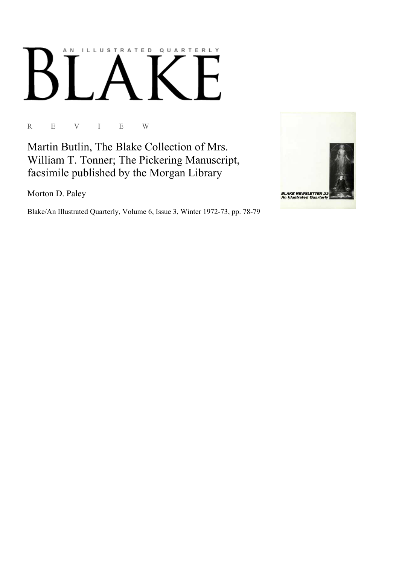# AN ILLUSTRATED QUARTERLY

R E V I E W

Martin Butlin, The Blake Collection of Mrs. William T. Tonner; The Pickering Manuscript, facsimile published by the Morgan Library

Morton D. Paley

Blake/An Illustrated Quarterly, Volume 6, Issue 3, Winter 1972-73, pp. 78-79

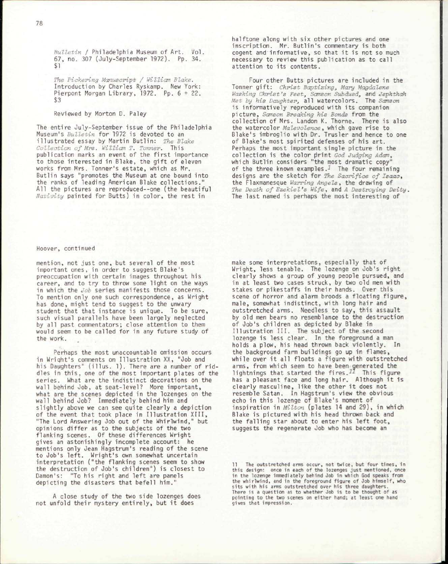*Bulletin I* Philadelphia Museum of Art. Vol. 67, no. 307 (July-September 1972). Pp. 34. \$1

*The Pickering Manuscript / William Blake.*  Introduction by Charles Ryskamp. New York: Pierpont Morgan Library, 1972. Pp. 6 + 22. \$3

## Reviewed by Morton D. Paley

The entire July-September issue of the Philadelphia Museum's *Bulletin* for 1972 is devoted to an illustrated essay by Martin Butlin: The Blake *Collection of Mrs. William T. Tonner.* This publication marks an event of the first importance to those interested in Blake, the gift of eleven works from Mrs. Tonner's estate, which as Mr. Butlin says "promotes the Museum at one bound into the ranks of leading American Blake collections." All the pictures are reproduced--one (the beautiful *Nativity* painted for Butts) in color, the rest in

halftone along with six other pictures and one inscription. Mr. Butlin's commentary is both cogent and informative, so that it is not so much necessary to review this publication as to call attention to its contents.

Four other Butts pictures are included in the Tonner gift : *Christ Baptizing, Mary Magdalene Washing Christ's Feet, Samson Subdued,* and *Jephthah*  Met by his Daughter, all watercolors. The Samson is informatively reproduced with its companion picture, *Samson Breaking his Bonds* from the collection of Mrs. Landon K. Thorne. There is also the watercolor *Malevolence*, which gave rise to Blake's imbroglio with Dr. Trusler and hence to one of Blake's most spirited defenses of his art. Perhaps the most important single picture in the collection is the color print *God Judging Adam,*  which Butlin considers "the most dramatic copy" of the three known examples.<sup> $I$ </sup> The four remaining designs are the sketch for *The Sacrifice of Isaac,*  the Flaxmanesque *Warring Angels,* the drawing of *The Death of Ezekiel's Wife,* and *A Destroying Deity.*  The last named is perhaps the most interesting of

### Hoover, continued

mention, not just one, but several of the most important ones, in order to suggest Blake's preoccupation with certain images throughout his career, and to try to throw some light on the ways in which the *Job* series manifests those concerns. To mention only one such correspondence, as Wright has done, might tend to suggest to the unwary student that that instance is unique. To be sure, such visual parallels have been largely neglected by all past commentators; close attention to them would seem to be called for in any future study of the work.

Perhaps the most unaccountable omission occurs in Wright's comments on Illustration XX, "Job and his Daughters" (illus. 1). There are a number of riddles in this , one of the most important plates of the series. What are the indistinct decorations on the wall behind Job, at seat-level? More important, what are the scenes depicted in the lozenges on the wall behind Job? Immediately behind him and slightly above we can see quite clearly a depiction of the event that took place in Illustration XIII, "The Lord Answering Job out of the Whirlwind," but opinions differ as to the subjects of the two flanking scenes. Of these differences Wright gives an astonishingly incomplete account: he mentions only Jean Hagstrum's reading of the scene to Job's left. Wright's own somewhat uncertain interpretation ("the flanking scenes seem to show the destruction of Job's children") is closest to Damon's: "To his right and left are panels depicting the disasters that befell him."

A close study of the two side lozenges does not unfold their mystery entirely, but it does

make some interpretations, especially that of Wright, less tenable. The lozenge on Job's right clearly shows a group of young people pursued, and in at least two cases struck, by two old men with stakes or pikestaffs in their hands. Over this scene of horror and alarm broods a floating figure, male, somewhat indistinct, with long hair and outstretched arms. Needless to say, this assault by old men bears no resemblance to the destruction of Job's children as depicted by Blake in Illustration III. The subject of the second lozenge is less clear. In the foreground a man holds a plow, his head thrown back violently. In the background farm buildings go up in flames, while over it all floats a figure with outstretched arms, from which seem to have been generated the lightnings that started the fires. $^{11}$  This figure has a pleasant face and long hair. Although it is clearly masculine, like the other it does not resemble Satan. In Hagstrum's view the obvious echo in this lozenge of Blake's moment of inspiration in *Milton* (plates 14 and 29), in which Blake is pictured with his head thrown back and the falling star about to enter his left foot, suggests the regenerate Job who has become an

The outstretched arms occur, not twice, but four times, in this design: once in each of the lozenges just mentioned, once in the lozenge immediately behind Job in which God speaks from the whirlwind, and in the foreground figure of Job himself, who sits with his arms outstretched over his three daughters. There is a question as to whether Job is to be thought of as pointing to the two scenes on either hand; at least one hand gives that impression.